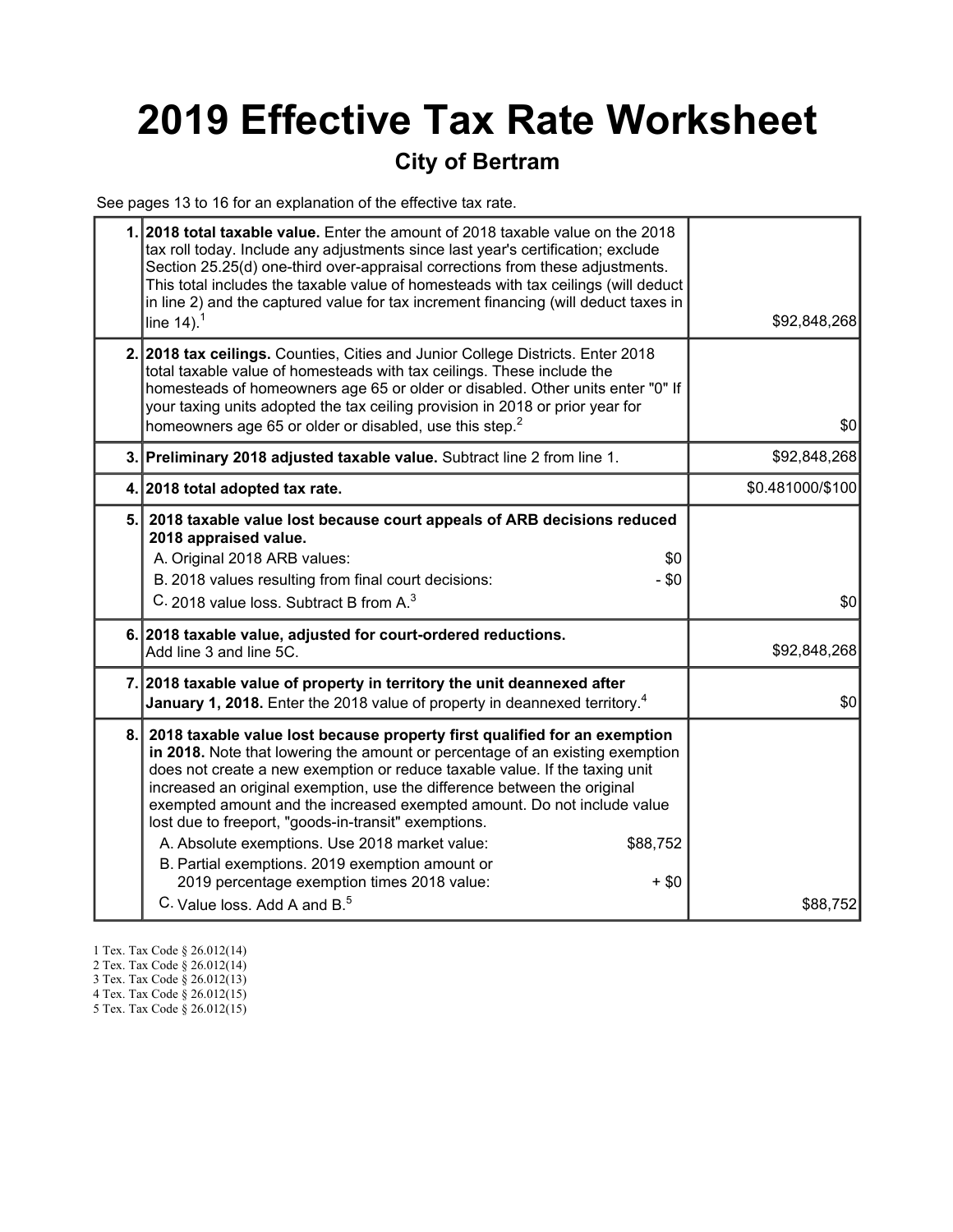# 2019 Effective Tax Rate Worksheet

### City of Bertram

See pages 13 to 16 for an explanation of the effective tax rate.

|     | 1. 2018 total taxable value. Enter the amount of 2018 taxable value on the 2018<br>tax roll today. Include any adjustments since last year's certification; exclude<br>Section 25.25(d) one-third over-appraisal corrections from these adjustments.<br>This total includes the taxable value of homesteads with tax ceilings (will deduct<br>in line 2) and the captured value for tax increment financing (will deduct taxes in<br>line $14$ ). <sup>1</sup>                                                                                                                                                                                                                  | \$92,848,268     |
|-----|---------------------------------------------------------------------------------------------------------------------------------------------------------------------------------------------------------------------------------------------------------------------------------------------------------------------------------------------------------------------------------------------------------------------------------------------------------------------------------------------------------------------------------------------------------------------------------------------------------------------------------------------------------------------------------|------------------|
|     | 2. 2018 tax ceilings. Counties, Cities and Junior College Districts. Enter 2018<br>total taxable value of homesteads with tax ceilings. These include the<br>homesteads of homeowners age 65 or older or disabled. Other units enter "0" If<br>your taxing units adopted the tax ceiling provision in 2018 or prior year for<br>homeowners age 65 or older or disabled, use this step. <sup>2</sup>                                                                                                                                                                                                                                                                             | \$0              |
|     | 3. Preliminary 2018 adjusted taxable value. Subtract line 2 from line 1.                                                                                                                                                                                                                                                                                                                                                                                                                                                                                                                                                                                                        | \$92,848,268     |
|     | 4. 2018 total adopted tax rate.                                                                                                                                                                                                                                                                                                                                                                                                                                                                                                                                                                                                                                                 | \$0.481000/\$100 |
|     | 5. 2018 taxable value lost because court appeals of ARB decisions reduced<br>2018 appraised value.<br>A. Original 2018 ARB values:<br>\$0<br>B. 2018 values resulting from final court decisions:<br>$- $0$<br>C. 2018 value loss. Subtract B from A. <sup>3</sup>                                                                                                                                                                                                                                                                                                                                                                                                              | \$0              |
|     | 6. 2018 taxable value, adjusted for court-ordered reductions.<br>Add line 3 and line 5C.                                                                                                                                                                                                                                                                                                                                                                                                                                                                                                                                                                                        | \$92,848,268     |
|     | 7. 2018 taxable value of property in territory the unit deannexed after<br>January 1, 2018. Enter the 2018 value of property in deannexed territory. <sup>4</sup>                                                                                                                                                                                                                                                                                                                                                                                                                                                                                                               | \$0              |
| 8.1 | 2018 taxable value lost because property first qualified for an exemption<br>in 2018. Note that lowering the amount or percentage of an existing exemption<br>does not create a new exemption or reduce taxable value. If the taxing unit<br>increased an original exemption, use the difference between the original<br>exempted amount and the increased exempted amount. Do not include value<br>lost due to freeport, "goods-in-transit" exemptions.<br>A. Absolute exemptions. Use 2018 market value:<br>\$88,752<br>B. Partial exemptions. 2019 exemption amount or<br>2019 percentage exemption times 2018 value:<br>$+$ \$0<br>C. Value loss, Add A and B. <sup>5</sup> | \$88,752         |

- 1 Tex. Tax Code § 26.012(14)
- 2 Tex. Tax Code § 26.012(14)
- 3 Tex. Tax Code § 26.012(13)
- 4 Tex. Tax Code § 26.012(15)
- 5 Tex. Tax Code § 26.012(15)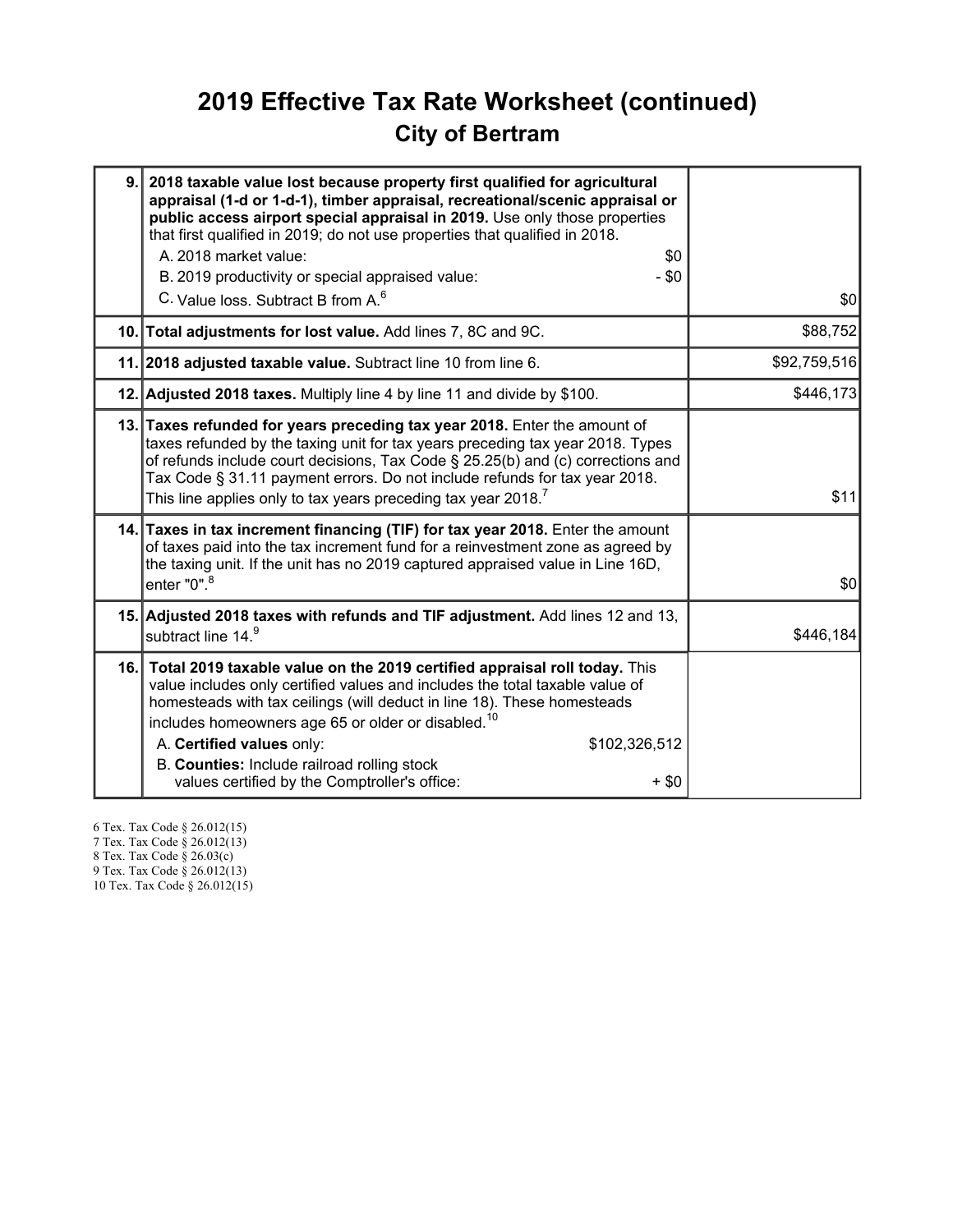### 2019 Effective Tax Rate Worksheet (continued) City of Bertram

| 9. 2018 taxable value lost because property first qualified for agricultural<br>appraisal (1-d or 1-d-1), timber appraisal, recreational/scenic appraisal or<br>public access airport special appraisal in 2019. Use only those properties<br>that first qualified in 2019; do not use properties that qualified in 2018.<br>A. 2018 market value:<br>\$0<br>B. 2019 productivity or special appraised value:<br>$-$ \$0<br>C. Value loss. Subtract B from A. <sup>6</sup> | \$0          |
|----------------------------------------------------------------------------------------------------------------------------------------------------------------------------------------------------------------------------------------------------------------------------------------------------------------------------------------------------------------------------------------------------------------------------------------------------------------------------|--------------|
| 10. Total adjustments for lost value. Add lines 7, 8C and 9C.                                                                                                                                                                                                                                                                                                                                                                                                              | \$88,752     |
| 11. 2018 adjusted taxable value. Subtract line 10 from line 6.                                                                                                                                                                                                                                                                                                                                                                                                             | \$92,759,516 |
| 12. Adjusted 2018 taxes. Multiply line 4 by line 11 and divide by \$100.                                                                                                                                                                                                                                                                                                                                                                                                   | \$446,173    |
| 13. Taxes refunded for years preceding tax year 2018. Enter the amount of<br>taxes refunded by the taxing unit for tax years preceding tax year 2018. Types<br>of refunds include court decisions, Tax Code § 25.25(b) and (c) corrections and<br>Tax Code § 31.11 payment errors. Do not include refunds for tax year 2018.<br>This line applies only to tax years preceding tax year 2018. <sup>7</sup>                                                                  | \$11         |
| 14. Taxes in tax increment financing (TIF) for tax year 2018. Enter the amount<br>of taxes paid into the tax increment fund for a reinvestment zone as agreed by<br>the taxing unit. If the unit has no 2019 captured appraised value in Line 16D,<br>enter "0". <sup>8</sup>                                                                                                                                                                                              | \$0          |
| 15. Adjusted 2018 taxes with refunds and TIF adjustment. Add lines 12 and 13,<br>subtract line 14.9                                                                                                                                                                                                                                                                                                                                                                        | \$446,184    |
| 16. Total 2019 taxable value on the 2019 certified appraisal roll today. This<br>value includes only certified values and includes the total taxable value of<br>homesteads with tax ceilings (will deduct in line 18). These homesteads<br>includes homeowners age 65 or older or disabled. <sup>10</sup><br>A. Certified values only:<br>\$102,326,512<br>B. Counties: Include railroad rolling stock<br>values certified by the Comptroller's office:<br>$+$ \$0        |              |

6 Tex. Tax Code § 26.012(15) 7 Tex. Tax Code § 26.012(13) 8 Tex. Tax Code § 26.03(c)

9 Tex. Tax Code § 26.012(13)

10 Tex. Tax Code § 26.012(15)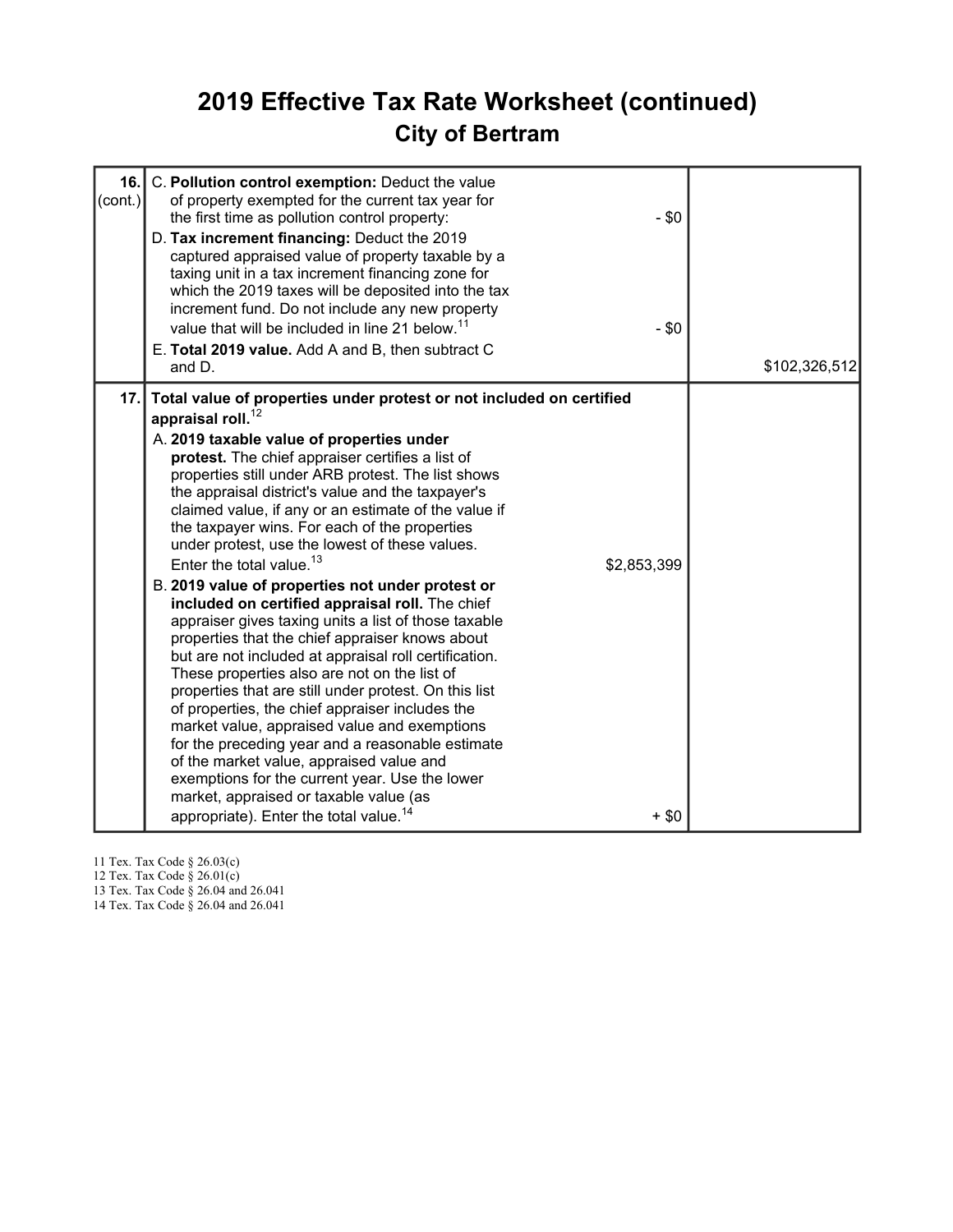### 2019 Effective Tax Rate Worksheet (continued) City of Bertram

| 16.1<br>(cont.) | C. Pollution control exemption: Deduct the value<br>of property exempted for the current tax year for<br>the first time as pollution control property:<br>$-$ \$0<br>D. Tax increment financing: Deduct the 2019<br>captured appraised value of property taxable by a<br>taxing unit in a tax increment financing zone for<br>which the 2019 taxes will be deposited into the tax<br>increment fund. Do not include any new property<br>value that will be included in line 21 below. <sup>11</sup><br>$-$ \$0<br>E. Total 2019 value. Add A and B, then subtract C<br>and D.                                                                                                                                                                                                                                                                                                                                                                                                                                                                                                                                                                                                                                                                                            | \$102,326,512 |
|-----------------|--------------------------------------------------------------------------------------------------------------------------------------------------------------------------------------------------------------------------------------------------------------------------------------------------------------------------------------------------------------------------------------------------------------------------------------------------------------------------------------------------------------------------------------------------------------------------------------------------------------------------------------------------------------------------------------------------------------------------------------------------------------------------------------------------------------------------------------------------------------------------------------------------------------------------------------------------------------------------------------------------------------------------------------------------------------------------------------------------------------------------------------------------------------------------------------------------------------------------------------------------------------------------|---------------|
| 17.1            | Total value of properties under protest or not included on certified<br>appraisal roll. $^{12}$<br>A. 2019 taxable value of properties under<br>protest. The chief appraiser certifies a list of<br>properties still under ARB protest. The list shows<br>the appraisal district's value and the taxpayer's<br>claimed value, if any or an estimate of the value if<br>the taxpayer wins. For each of the properties<br>under protest, use the lowest of these values.<br>Enter the total value. $13$<br>\$2,853,399<br>B. 2019 value of properties not under protest or<br>included on certified appraisal roll. The chief<br>appraiser gives taxing units a list of those taxable<br>properties that the chief appraiser knows about<br>but are not included at appraisal roll certification.<br>These properties also are not on the list of<br>properties that are still under protest. On this list<br>of properties, the chief appraiser includes the<br>market value, appraised value and exemptions<br>for the preceding year and a reasonable estimate<br>of the market value, appraised value and<br>exemptions for the current year. Use the lower<br>market, appraised or taxable value (as<br>appropriate). Enter the total value. <sup>14</sup><br>$+$ \$0 |               |

11 Tex. Tax Code § 26.03(c)

12 Tex. Tax Code § 26.01(c)

13 Tex. Tax Code § 26.04 and 26.041

14 Tex. Tax Code § 26.04 and 26.041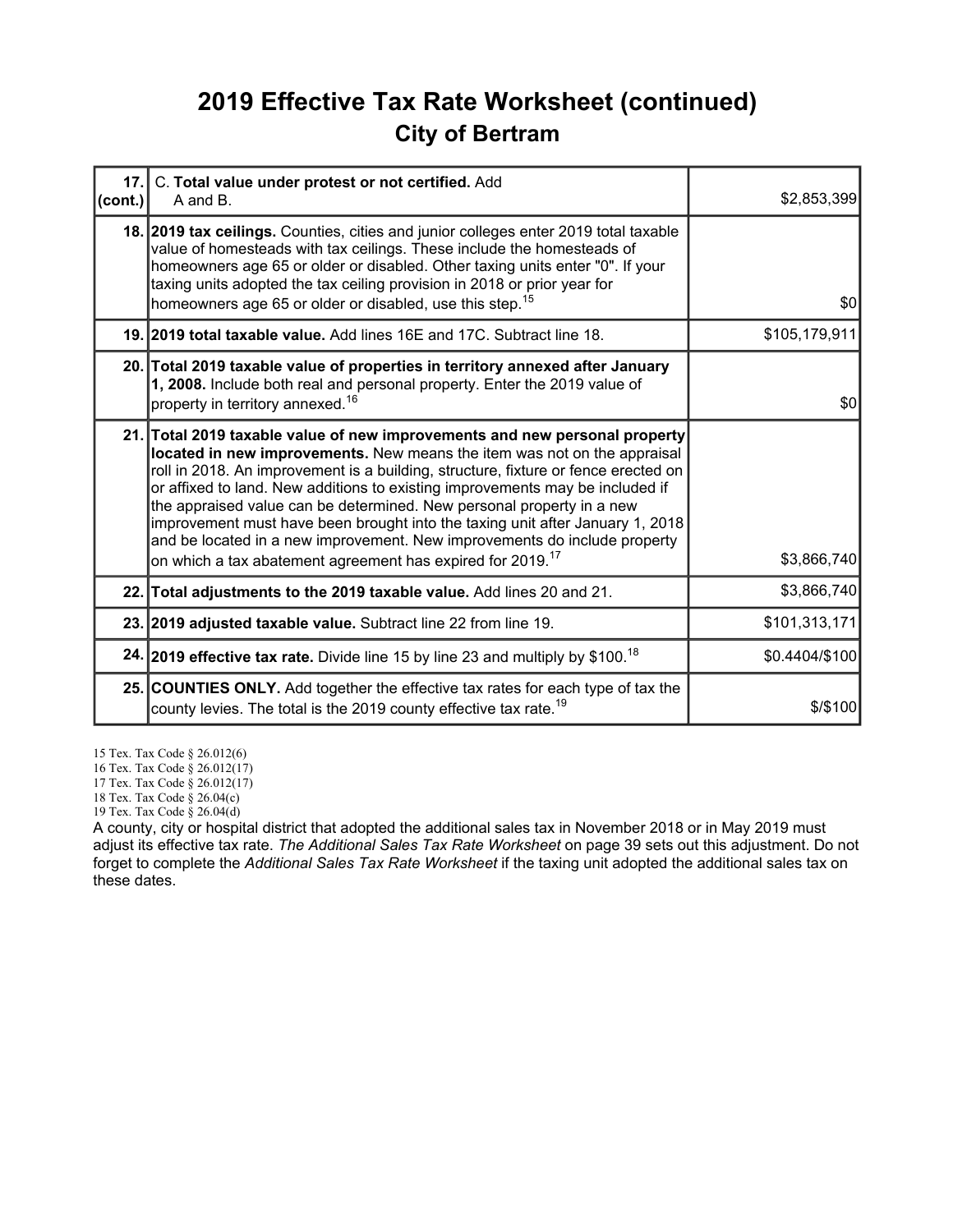### 2019 Effective Tax Rate Worksheet (continued) City of Bertram

| $\left(\text{cont.}\right)$ | 17. C. Total value under protest or not certified. Add<br>A and B.                                                                                                                                                                                                                                                                                                                                                                                                                                                                                                                                                                             | \$2,853,399    |
|-----------------------------|------------------------------------------------------------------------------------------------------------------------------------------------------------------------------------------------------------------------------------------------------------------------------------------------------------------------------------------------------------------------------------------------------------------------------------------------------------------------------------------------------------------------------------------------------------------------------------------------------------------------------------------------|----------------|
|                             | 18. 2019 tax ceilings. Counties, cities and junior colleges enter 2019 total taxable<br>value of homesteads with tax ceilings. These include the homesteads of<br>homeowners age 65 or older or disabled. Other taxing units enter "0". If your<br>taxing units adopted the tax ceiling provision in 2018 or prior year for<br>homeowners age 65 or older or disabled, use this step. <sup>15</sup>                                                                                                                                                                                                                                            | \$0            |
|                             | 19. 2019 total taxable value. Add lines 16E and 17C. Subtract line 18.                                                                                                                                                                                                                                                                                                                                                                                                                                                                                                                                                                         | \$105,179,911  |
|                             | 20. Total 2019 taxable value of properties in territory annexed after January<br>1, 2008. Include both real and personal property. Enter the 2019 value of<br>property in territory annexed. <sup>16</sup>                                                                                                                                                                                                                                                                                                                                                                                                                                     | \$0            |
|                             | 21. Total 2019 taxable value of new improvements and new personal property<br>located in new improvements. New means the item was not on the appraisal<br>roll in 2018. An improvement is a building, structure, fixture or fence erected on<br>or affixed to land. New additions to existing improvements may be included if<br>the appraised value can be determined. New personal property in a new<br>improvement must have been brought into the taxing unit after January 1, 2018<br>and be located in a new improvement. New improvements do include property<br>on which a tax abatement agreement has expired for 2019. <sup>17</sup> | \$3,866,740    |
|                             | 22. Total adjustments to the 2019 taxable value. Add lines 20 and 21.                                                                                                                                                                                                                                                                                                                                                                                                                                                                                                                                                                          | \$3,866,740    |
|                             | 23. 2019 adjusted taxable value. Subtract line 22 from line 19.                                                                                                                                                                                                                                                                                                                                                                                                                                                                                                                                                                                | \$101,313,171  |
|                             | 24. 2019 effective tax rate. Divide line 15 by line 23 and multiply by \$100. <sup>18</sup>                                                                                                                                                                                                                                                                                                                                                                                                                                                                                                                                                    | \$0.4404/\$100 |
|                             | 25. COUNTIES ONLY. Add together the effective tax rates for each type of tax the<br>county levies. The total is the 2019 county effective tax rate. <sup>19</sup>                                                                                                                                                                                                                                                                                                                                                                                                                                                                              | $$$ /\$100     |

15 Tex. Tax Code § 26.012(6)

16 Tex. Tax Code § 26.012(17)

17 Tex. Tax Code § 26.012(17)

18 Tex. Tax Code § 26.04(c)

19 Tex. Tax Code § 26.04(d)

A county, city or hospital district that adopted the additional sales tax in November 2018 or in May 2019 must adjust its effective tax rate. The Additional Sales Tax Rate Worksheet on page 39 sets out this adjustment. Do not forget to complete the Additional Sales Tax Rate Worksheet if the taxing unit adopted the additional sales tax on these dates.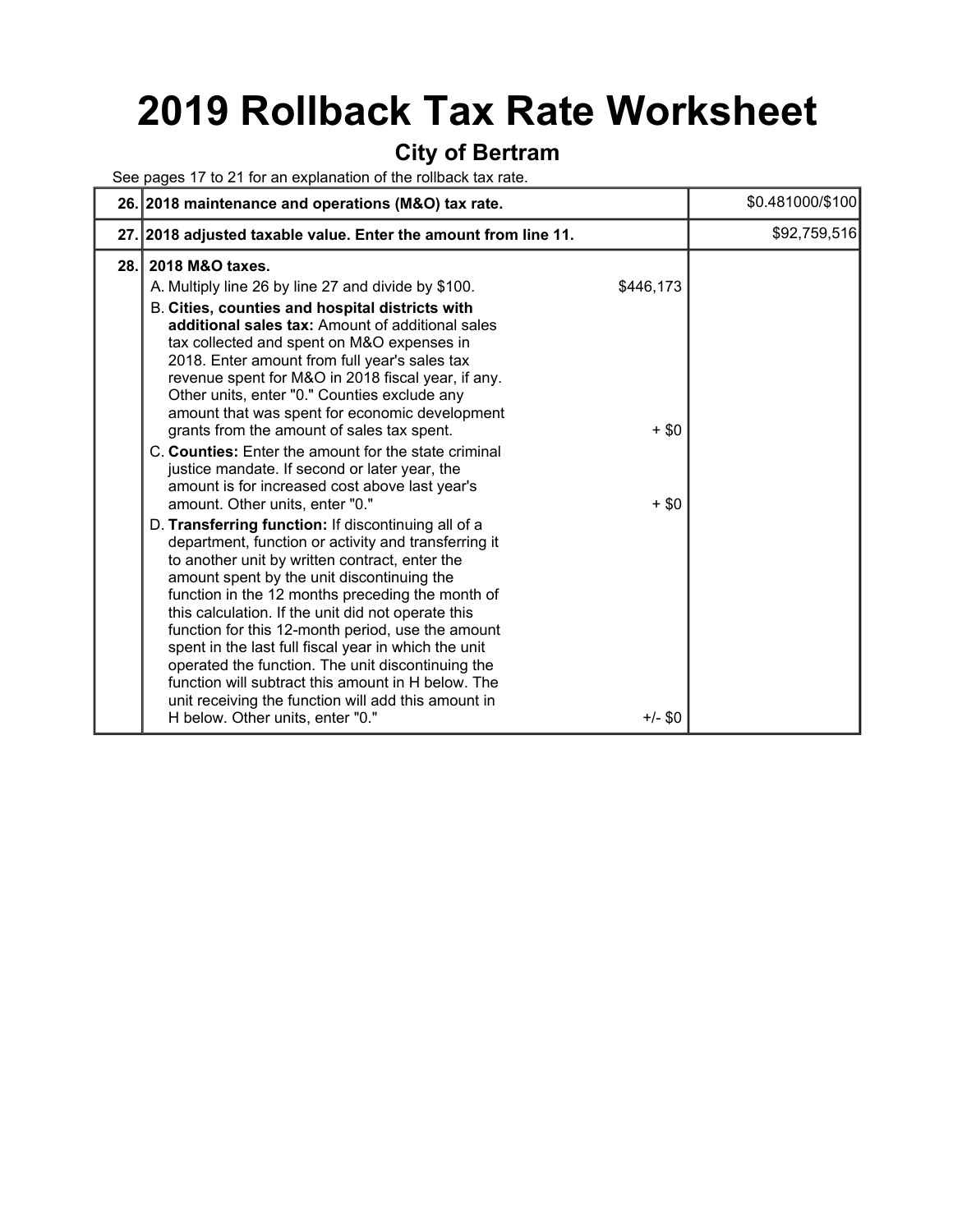# 2019 Rollback Tax Rate Worksheet

#### City of Bertram

See pages 17 to 21 for an explanation of the rollback tax rate.

|      | 26. 2018 maintenance and operations (M&O) tax rate.                                                                                                                                                                                                                                                                                                                                                                                                                                                                                                                                                                                                                              |                                 | \$0.481000/\$100 |
|------|----------------------------------------------------------------------------------------------------------------------------------------------------------------------------------------------------------------------------------------------------------------------------------------------------------------------------------------------------------------------------------------------------------------------------------------------------------------------------------------------------------------------------------------------------------------------------------------------------------------------------------------------------------------------------------|---------------------------------|------------------|
|      | 27. 2018 adjusted taxable value. Enter the amount from line 11.                                                                                                                                                                                                                                                                                                                                                                                                                                                                                                                                                                                                                  |                                 | \$92,759,516     |
| 28.1 | 2018 M&O taxes.<br>A. Multiply line 26 by line 27 and divide by \$100.<br>B. Cities, counties and hospital districts with<br>additional sales tax: Amount of additional sales<br>tax collected and spent on M&O expenses in<br>2018. Enter amount from full year's sales tax<br>revenue spent for M&O in 2018 fiscal year, if any.<br>Other units, enter "0." Counties exclude any<br>amount that was spent for economic development<br>grants from the amount of sales tax spent.<br>C. Counties: Enter the amount for the state criminal<br>justice mandate. If second or later year, the<br>amount is for increased cost above last year's<br>amount. Other units, enter "0." | \$446,173<br>$+$ \$0<br>$+$ \$0 |                  |
|      | D. Transferring function: If discontinuing all of a<br>department, function or activity and transferring it<br>to another unit by written contract, enter the<br>amount spent by the unit discontinuing the<br>function in the 12 months preceding the month of<br>this calculation. If the unit did not operate this<br>function for this 12-month period, use the amount<br>spent in the last full fiscal year in which the unit<br>operated the function. The unit discontinuing the<br>function will subtract this amount in H below. The<br>unit receiving the function will add this amount in<br>H below. Other units, enter "0."                                         | $+/-$ \$0                       |                  |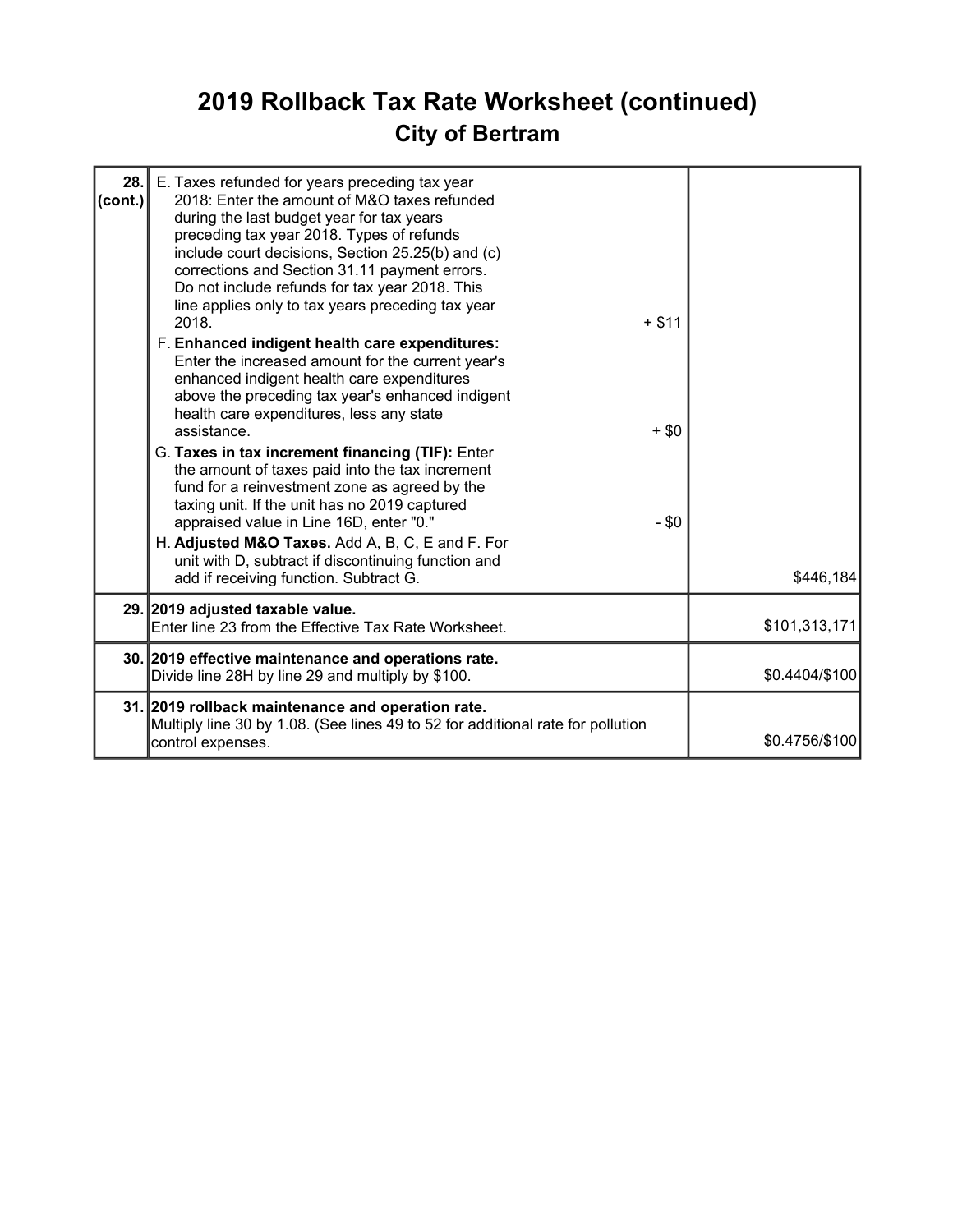## 2019 Rollback Tax Rate Worksheet (continued) City of Bertram

| 28.1<br>$\text{(cont.)}$ | E. Taxes refunded for years preceding tax year<br>2018: Enter the amount of M&O taxes refunded<br>during the last budget year for tax years<br>preceding tax year 2018. Types of refunds<br>include court decisions, Section 25.25(b) and (c)<br>corrections and Section 31.11 payment errors.<br>Do not include refunds for tax year 2018. This<br>line applies only to tax years preceding tax year<br>2018.<br>F. Enhanced indigent health care expenditures:<br>Enter the increased amount for the current year's<br>enhanced indigent health care expenditures<br>above the preceding tax year's enhanced indigent<br>health care expenditures, less any state<br>assistance.<br>G. Taxes in tax increment financing (TIF): Enter<br>the amount of taxes paid into the tax increment<br>fund for a reinvestment zone as agreed by the<br>taxing unit. If the unit has no 2019 captured<br>appraised value in Line 16D, enter "0."<br>H. Adjusted M&O Taxes. Add A, B, C, E and F. For<br>unit with D, subtract if discontinuing function and | $+ $11$<br>$+$ \$0<br>$-$ \$0 |                |
|--------------------------|---------------------------------------------------------------------------------------------------------------------------------------------------------------------------------------------------------------------------------------------------------------------------------------------------------------------------------------------------------------------------------------------------------------------------------------------------------------------------------------------------------------------------------------------------------------------------------------------------------------------------------------------------------------------------------------------------------------------------------------------------------------------------------------------------------------------------------------------------------------------------------------------------------------------------------------------------------------------------------------------------------------------------------------------------|-------------------------------|----------------|
|                          | add if receiving function. Subtract G.<br>29. 2019 adjusted taxable value.                                                                                                                                                                                                                                                                                                                                                                                                                                                                                                                                                                                                                                                                                                                                                                                                                                                                                                                                                                        |                               | \$446,184      |
|                          | Enter line 23 from the Effective Tax Rate Worksheet.                                                                                                                                                                                                                                                                                                                                                                                                                                                                                                                                                                                                                                                                                                                                                                                                                                                                                                                                                                                              |                               | \$101,313,171  |
|                          | 30. 2019 effective maintenance and operations rate.<br>Divide line 28H by line 29 and multiply by \$100.                                                                                                                                                                                                                                                                                                                                                                                                                                                                                                                                                                                                                                                                                                                                                                                                                                                                                                                                          |                               | \$0.4404/\$100 |
|                          | 31. 2019 rollback maintenance and operation rate.<br>Multiply line 30 by 1.08. (See lines 49 to 52 for additional rate for pollution<br>control expenses.                                                                                                                                                                                                                                                                                                                                                                                                                                                                                                                                                                                                                                                                                                                                                                                                                                                                                         |                               | \$0.4756/\$100 |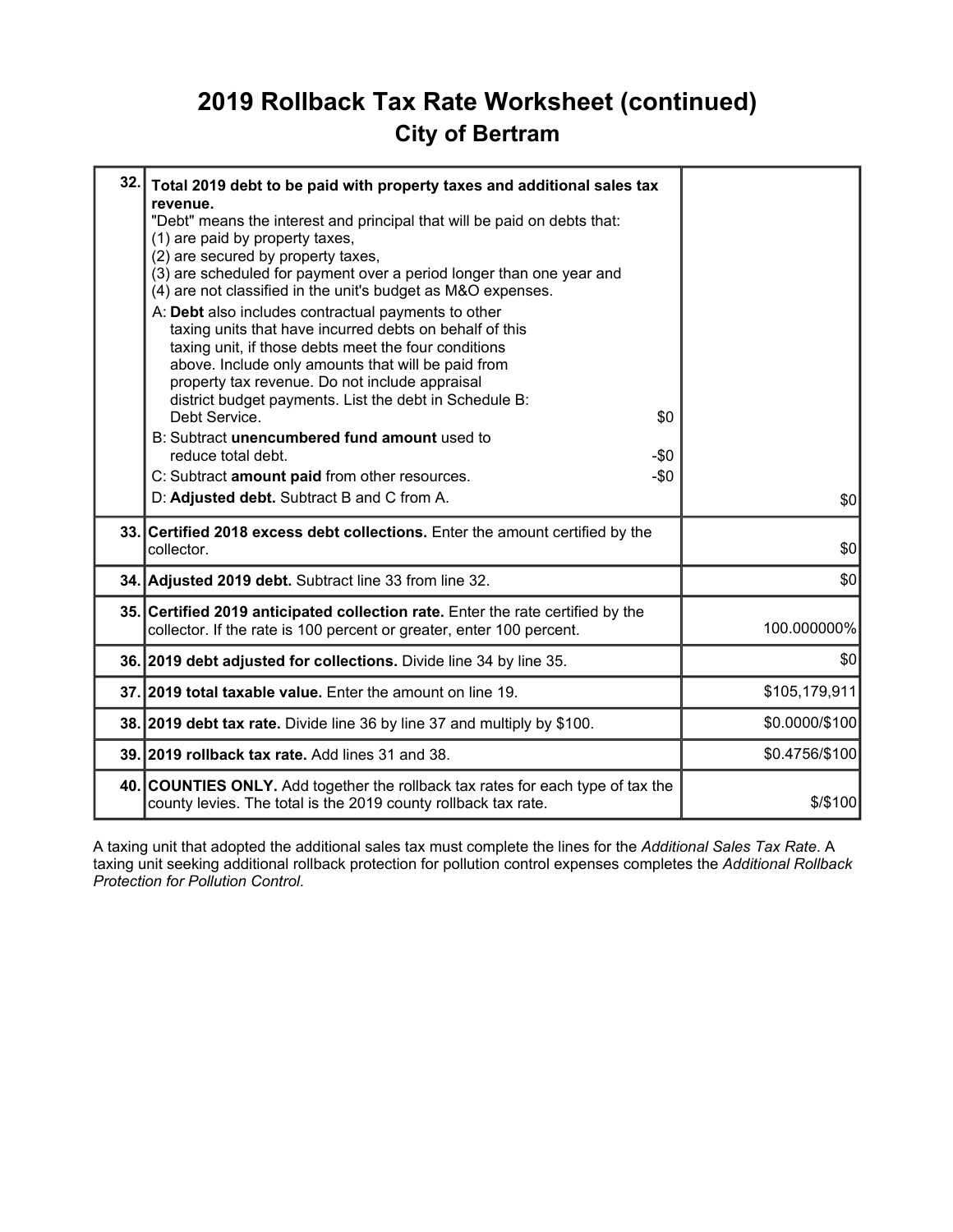### 2019 Rollback Tax Rate Worksheet (continued) City of Bertram

| 32.1 | Total 2019 debt to be paid with property taxes and additional sales tax<br>revenue.<br>"Debt" means the interest and principal that will be paid on debts that:<br>(1) are paid by property taxes,<br>(2) are secured by property taxes,<br>(3) are scheduled for payment over a period longer than one year and<br>(4) are not classified in the unit's budget as M&O expenses.<br>A: Debt also includes contractual payments to other<br>taxing units that have incurred debts on behalf of this<br>taxing unit, if those debts meet the four conditions<br>above. Include only amounts that will be paid from<br>property tax revenue. Do not include appraisal<br>district budget payments. List the debt in Schedule B:<br>Debt Service.<br>\$0<br>B: Subtract unencumbered fund amount used to<br>reduce total debt.<br>$-\$0$<br>$-\$0$<br>C: Subtract amount paid from other resources.<br>D: Adjusted debt. Subtract B and C from A. | \$0            |
|------|-----------------------------------------------------------------------------------------------------------------------------------------------------------------------------------------------------------------------------------------------------------------------------------------------------------------------------------------------------------------------------------------------------------------------------------------------------------------------------------------------------------------------------------------------------------------------------------------------------------------------------------------------------------------------------------------------------------------------------------------------------------------------------------------------------------------------------------------------------------------------------------------------------------------------------------------------|----------------|
|      | 33. Certified 2018 excess debt collections. Enter the amount certified by the<br>collector.                                                                                                                                                                                                                                                                                                                                                                                                                                                                                                                                                                                                                                                                                                                                                                                                                                                   | \$0            |
|      | 34. Adjusted 2019 debt. Subtract line 33 from line 32.                                                                                                                                                                                                                                                                                                                                                                                                                                                                                                                                                                                                                                                                                                                                                                                                                                                                                        | \$0            |
|      | 35. Certified 2019 anticipated collection rate. Enter the rate certified by the<br>collector. If the rate is 100 percent or greater, enter 100 percent.                                                                                                                                                                                                                                                                                                                                                                                                                                                                                                                                                                                                                                                                                                                                                                                       | 100.000000%    |
|      | 36. 2019 debt adjusted for collections. Divide line 34 by line 35.                                                                                                                                                                                                                                                                                                                                                                                                                                                                                                                                                                                                                                                                                                                                                                                                                                                                            | \$0            |
|      | 37.12019 total taxable value. Enter the amount on line 19.                                                                                                                                                                                                                                                                                                                                                                                                                                                                                                                                                                                                                                                                                                                                                                                                                                                                                    | \$105,179,911  |
|      | 38. 2019 debt tax rate. Divide line 36 by line 37 and multiply by \$100.                                                                                                                                                                                                                                                                                                                                                                                                                                                                                                                                                                                                                                                                                                                                                                                                                                                                      | \$0.0000/\$100 |
|      | 39. 2019 rollback tax rate. Add lines 31 and 38.                                                                                                                                                                                                                                                                                                                                                                                                                                                                                                                                                                                                                                                                                                                                                                                                                                                                                              | \$0.4756/\$100 |
|      | 40. COUNTIES ONLY. Add together the rollback tax rates for each type of tax the<br>county levies. The total is the 2019 county rollback tax rate.                                                                                                                                                                                                                                                                                                                                                                                                                                                                                                                                                                                                                                                                                                                                                                                             | \$/\$100       |

A taxing unit that adopted the additional sales tax must complete the lines for the Additional Sales Tax Rate. A taxing unit seeking additional rollback protection for pollution control expenses completes the Additional Rollback Protection for Pollution Control.